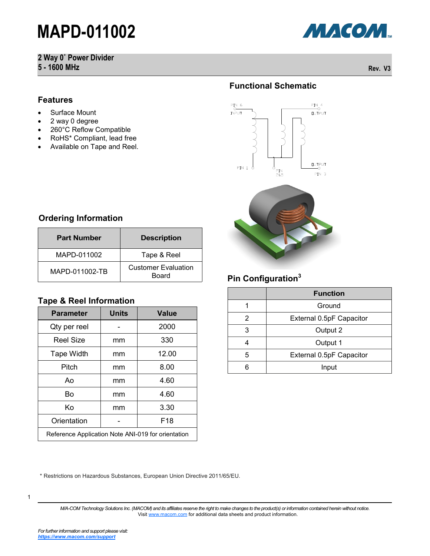## **2 Way 0˚ Power Divider**

**5 - 1600 MHz Rev. V3**



#### **Features**

- Surface Mount
- 2 way 0 degree
- 260°C Reflow Compatible
- RoHS\* Compliant, lead free
- Available on Tape and Reel.

## **Functional Schematic**



#### **Ordering Information**

| <b>Part Number</b> | <b>Description</b>                  |  |  |
|--------------------|-------------------------------------|--|--|
| MAPD-011002        | Tape & Reel                         |  |  |
| MAPD-011002-TB     | <b>Customer Evaluation</b><br>Board |  |  |

#### **Tape & Reel Information**

| <b>Parameter</b>                                   | <b>Units</b> | <b>Value</b>    |  |  |
|----------------------------------------------------|--------------|-----------------|--|--|
| Qty per reel                                       |              | 2000            |  |  |
| <b>Reel Size</b>                                   | mm           | 330             |  |  |
| <b>Tape Width</b>                                  | mm           | 12.00           |  |  |
| Pitch                                              | mm           | 8.00            |  |  |
| A٥                                                 | mm           | 4.60            |  |  |
| Bo                                                 | mm           | 4.60            |  |  |
| Κo                                                 | mm           | 3.30            |  |  |
| Orientation                                        |              | F <sub>18</sub> |  |  |
| Reference Application Note ANI-019 for orientation |              |                 |  |  |

### **Pin Configuration<sup>3</sup>**

|   | <b>Function</b>          |  |
|---|--------------------------|--|
|   | Ground                   |  |
| 2 | External 0.5pF Capacitor |  |
| 3 | Output 2                 |  |
|   | Output 1                 |  |
| 5 | External 0.5pF Capacitor |  |
|   | Input                    |  |

\* Restrictions on Hazardous Substances, European Union Directive 2011/65/EU.

1

*M/A-COM Technology Solutions Inc. (MACOM) and its affiliates reserve the right to make changes to the product(s) or information contained herein without notice.*  Visit [www.macom.com](http://www.macom.com/) for additional data sheets and product information.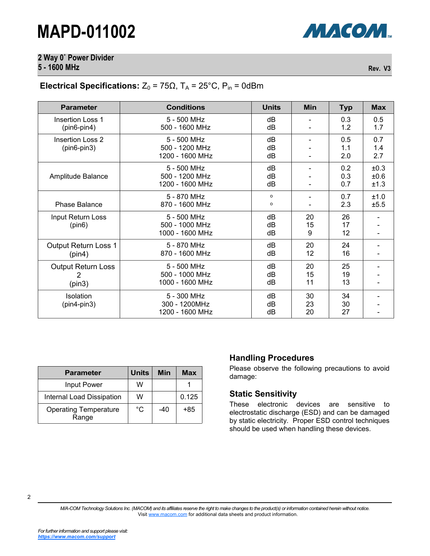## **2 Way 0˚ Power Divider**

**5 - 1600 MHz Rev. V3**

### **Electrical Specifications:**  $Z_0 = 75\Omega$ ,  $T_A = 25^{\circ}$ C,  $P_{in} = 0$ dBm

| <b>Parameter</b>                         | <b>Conditions</b>                                | <b>Units</b>   | Min            | <b>Typ</b>        | <b>Max</b>           |
|------------------------------------------|--------------------------------------------------|----------------|----------------|-------------------|----------------------|
| <b>Insertion Loss 1</b><br>$(pin6-pin4)$ | 5 - 500 MHz<br>500 - 1600 MHz                    | dB<br>dB       |                | 0.3<br>1.2        | 0.5<br>1.7           |
| <b>Insertion Loss 2</b><br>$(pin6-pin3)$ | 5 - 500 MHz<br>500 - 1200 MHz<br>1200 - 1600 MHz | dB<br>dB<br>dB |                | 0.5<br>1.1<br>2.0 | 0.7<br>1.4<br>2.7    |
| Amplitude Balance                        | 5 - 500 MHz<br>500 - 1200 MHz<br>1200 - 1600 MHz | dB<br>dB<br>dB |                | 0.2<br>0.3<br>0.7 | ±0.3<br>±0.6<br>±1.3 |
| <b>Phase Balance</b>                     | 5 - 870 MHz<br>870 - 1600 MHz                    | O<br>o         |                | 0.7<br>2.3        | ±1.0<br>±5.5         |
| Input Return Loss<br>(pin6)              | 5 - 500 MHz<br>500 - 1000 MHz<br>1000 - 1600 MHz | dB<br>dB<br>dB | 20<br>15<br>9  | 26<br>17<br>12    |                      |
| Output Return Loss 1<br>(pin4)           | 5 - 870 MHz<br>870 - 1600 MHz                    | dB<br>dB       | 20<br>12       | 24<br>16          |                      |
| <b>Output Return Loss</b><br>2<br>(pin3) | 5 - 500 MHz<br>500 - 1000 MHz<br>1000 - 1600 MHz | dB<br>dB<br>dB | 20<br>15<br>11 | 25<br>19<br>13    |                      |
| Isolation<br>$(pin4-pin3)$               | 5 - 300 MHz<br>300 - 1200MHz<br>1200 - 1600 MHz  | dB<br>dB<br>dB | 30<br>23<br>20 | 34<br>30<br>27    |                      |

| <b>Parameter</b>                      | <b>Units</b> | Min | Max   |
|---------------------------------------|--------------|-----|-------|
| Input Power                           | w            |     |       |
| Internal Load Dissipation             | w            |     | 0.125 |
| <b>Operating Temperature</b><br>Range | °C           | -40 | +85   |

#### **Handling Procedures**

Please observe the following precautions to avoid damage:

#### **Static Sensitivity**

These electronic devices are sensitive to electrostatic discharge (ESD) and can be damaged by static electricity. Proper ESD control techniques should be used when handling these devices.

2

*M/A-COM Technology Solutions Inc. (MACOM) and its affiliates reserve the right to make changes to the product(s) or information contained herein without notice.*  Visit [www.macom.com](http://www.macom.com/) for additional data sheets and product information.

МАСОМ.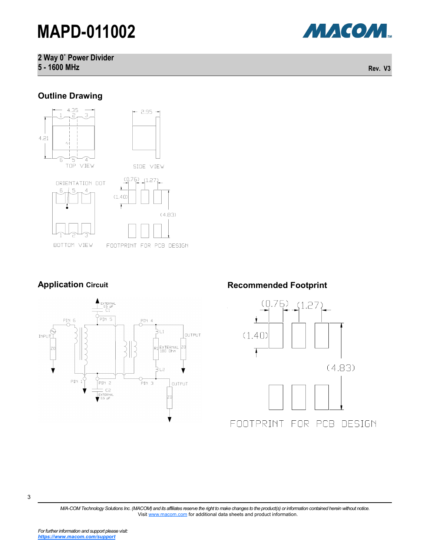**2 Way 0˚ Power Divider 5 - 1600 MHz Rev. V3**

#### **Outline Drawing**



### **Application Circuit**



### **Recommended Footprint**





*M/A-COM Technology Solutions Inc. (MACOM) and its affiliates reserve the right to make changes to the product(s) or information contained herein without notice.*  Visit [www.macom.com](http://www.macom.com/) for additional data sheets and product information.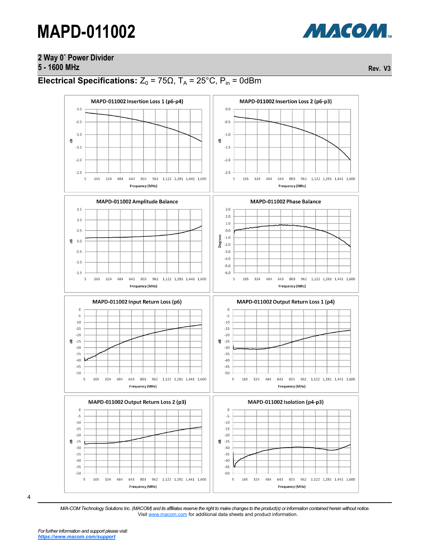## **2 Way 0˚ Power Divider**

**5 - 1600 MHz Rev. V3**

### **Electrical Specifications:**  $Z_0 = 75\Omega$ ,  $T_A = 25^{\circ}$ C,  $P_{in} = 0$ dBm





*M/A-COM Technology Solutions Inc. (MACOM) and its affiliates reserve the right to make changes to the product(s) or information contained herein without notice.*  Visit [www.macom.com](http://www.macom.com/) for additional data sheets and product information.